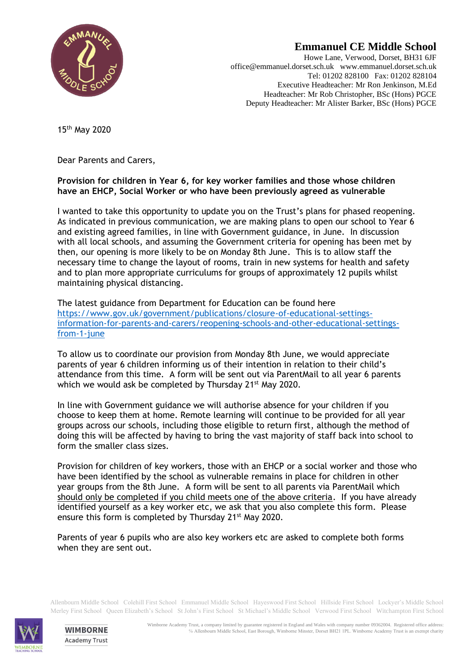

## **Emmanuel CE Middle School**

Howe Lane, Verwood, Dorset, BH31 6JF office@emmanuel.dorset.sch.uk www.emmanuel.dorset.sch.uk Tel: 01202 828100 Fax: 01202 828104 Executive Headteacher: Mr Ron Jenkinson, M.Ed Headteacher: Mr Rob Christopher, BSc (Hons) PGCE Deputy Headteacher: Mr Alister Barker, BSc (Hons) PGCE

15 th May 2020

Dear Parents and Carers,

## **Provision for children in Year 6, for key worker families and those whose children have an EHCP, Social Worker or who have been previously agreed as vulnerable**

I wanted to take this opportunity to update you on the Trust's plans for phased reopening. As indicated in previous communication, we are making plans to open our school to Year 6 and existing agreed families, in line with Government guidance, in June. In discussion with all local schools, and assuming the Government criteria for opening has been met by then, our opening is more likely to be on Monday 8th June. This is to allow staff the necessary time to change the layout of rooms, train in new systems for health and safety and to plan more appropriate curriculums for groups of approximately 12 pupils whilst maintaining physical distancing.

The latest guidance from Department for Education can be found here [https://www.gov.uk/government/publications/closure-of-educational-settings](https://www.gov.uk/government/publications/closure-of-educational-settings-information-for-parents-and-carers/reopening-schools-and-other-educational-settings-from-1-june)[information-for-parents-and-carers/reopening-schools-and-other-educational-settings](https://www.gov.uk/government/publications/closure-of-educational-settings-information-for-parents-and-carers/reopening-schools-and-other-educational-settings-from-1-june)[from-1-june](https://www.gov.uk/government/publications/closure-of-educational-settings-information-for-parents-and-carers/reopening-schools-and-other-educational-settings-from-1-june)

To allow us to coordinate our provision from Monday 8th June, we would appreciate parents of year 6 children informing us of their intention in relation to their child's attendance from this time. A form will be sent out via ParentMail to all year 6 parents which we would ask be completed by Thursday 21<sup>st</sup> May 2020.

In line with Government guidance we will authorise absence for your children if you choose to keep them at home. Remote learning will continue to be provided for all year groups across our schools, including those eligible to return first, although the method of doing this will be affected by having to bring the vast majority of staff back into school to form the smaller class sizes.

Provision for children of key workers, those with an EHCP or a social worker and those who have been identified by the school as vulnerable remains in place for children in other year groups from the 8th June. A form will be sent to all parents via ParentMail which should only be completed if you child meets one of the above criteria. If you have already identified yourself as a key worker etc, we ask that you also complete this form. Please ensure this form is completed by Thursday 21<sup>st</sup> May 2020.

Parents of year 6 pupils who are also key workers etc are asked to complete both forms when they are sent out.

Allenbourn Middle School Colehill First School Emmanuel Middle School Hayeswood First School Hillside First School Lockyer's Middle School Merley First School Queen Elizabeth's School St John's First School St Michael's Middle School Verwood First School Witchampton First School



**WIMBORNE Academy Trust**  Wimborne Academy Trust, a company limited by guarantee registered in England and Wales with company number 09362004. Registered office address: ℅ Allenbourn Middle School, East Borough, Wimborne Minster, Dorset BH21 1PL. Wimborne Academy Trust is an exempt charity